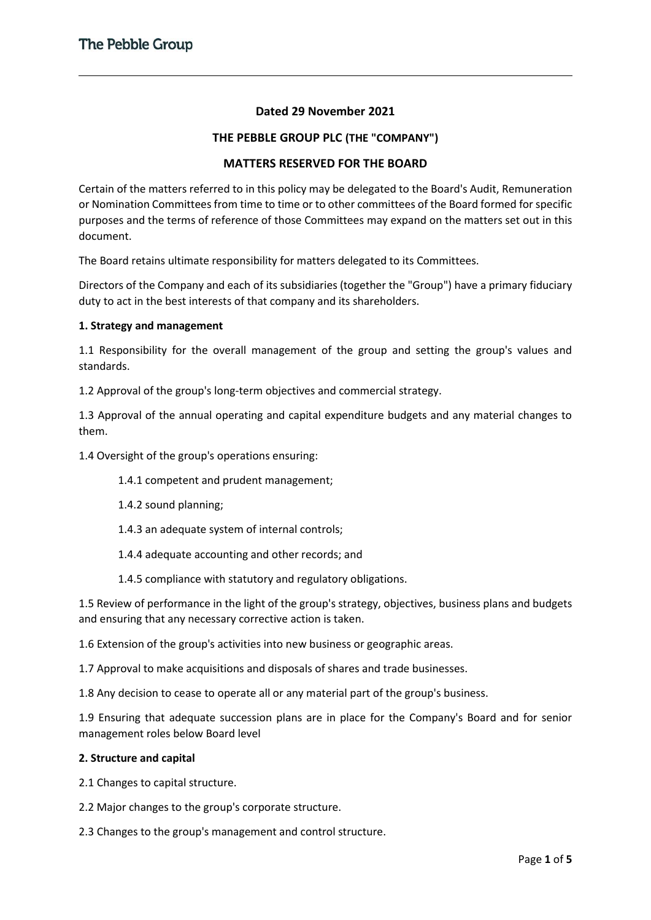# **Dated 29 November 2021**

### **THE PEBBLE GROUP PLC (THE "COMPANY")**

# **MATTERS RESERVED FOR THE BOARD**

Certain of the matters referred to in this policy may be delegated to the Board's Audit, Remuneration or Nomination Committees from time to time or to other committees of the Board formed for specific purposes and the terms of reference of those Committees may expand on the matters set out in this document.

The Board retains ultimate responsibility for matters delegated to its Committees.

Directors of the Company and each of its subsidiaries (together the "Group") have a primary fiduciary duty to act in the best interests of that company and its shareholders.

#### **1. Strategy and management**

1.1 Responsibility for the overall management of the group and setting the group's values and standards.

1.2 Approval of the group's long-term objectives and commercial strategy.

1.3 Approval of the annual operating and capital expenditure budgets and any material changes to them.

1.4 Oversight of the group's operations ensuring:

- 1.4.1 competent and prudent management;
- 1.4.2 sound planning;
- 1.4.3 an adequate system of internal controls;
- 1.4.4 adequate accounting and other records; and
- 1.4.5 compliance with statutory and regulatory obligations.

1.5 Review of performance in the light of the group's strategy, objectives, business plans and budgets and ensuring that any necessary corrective action is taken.

1.6 Extension of the group's activities into new business or geographic areas.

1.7 Approval to make acquisitions and disposals of shares and trade businesses.

1.8 Any decision to cease to operate all or any material part of the group's business.

1.9 Ensuring that adequate succession plans are in place for the Company's Board and for senior management roles below Board level

#### **2. Structure and capital**

2.1 Changes to capital structure.

2.2 Major changes to the group's corporate structure.

2.3 Changes to the group's management and control structure.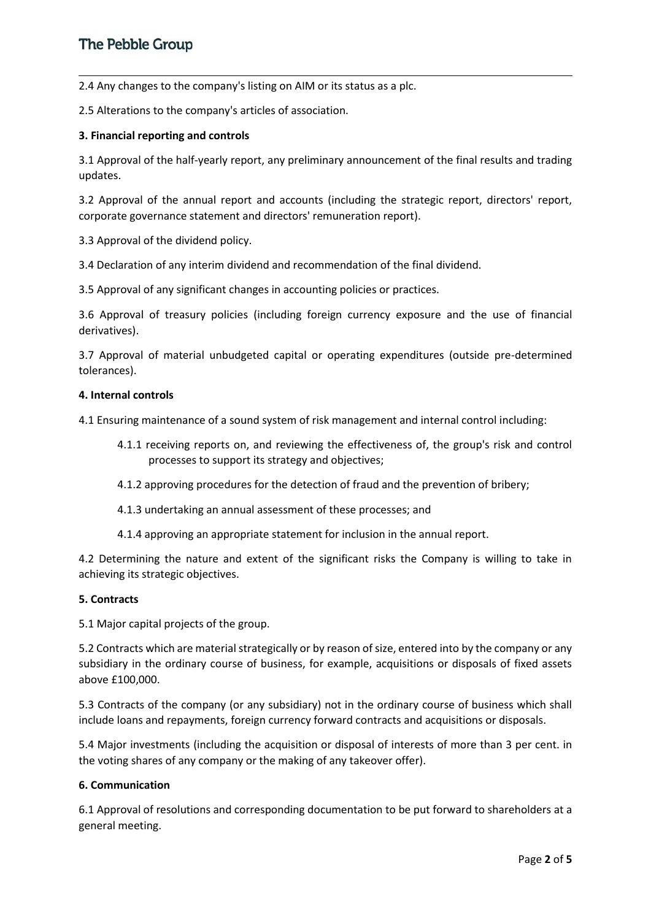2.4 Any changes to the company's listing on AIM or its status as a plc.

2.5 Alterations to the company's articles of association.

### **3. Financial reporting and controls**

3.1 Approval of the half-yearly report, any preliminary announcement of the final results and trading updates.

3.2 Approval of the annual report and accounts (including the strategic report, directors' report, corporate governance statement and directors' remuneration report).

3.3 Approval of the dividend policy.

3.4 Declaration of any interim dividend and recommendation of the final dividend.

3.5 Approval of any significant changes in accounting policies or practices.

3.6 Approval of treasury policies (including foreign currency exposure and the use of financial derivatives).

3.7 Approval of material unbudgeted capital or operating expenditures (outside pre-determined tolerances).

### **4. Internal controls**

4.1 Ensuring maintenance of a sound system of risk management and internal control including:

- 4.1.1 receiving reports on, and reviewing the effectiveness of, the group's risk and control processes to support its strategy and objectives;
- 4.1.2 approving procedures for the detection of fraud and the prevention of bribery;
- 4.1.3 undertaking an annual assessment of these processes; and
- 4.1.4 approving an appropriate statement for inclusion in the annual report.

4.2 Determining the nature and extent of the significant risks the Company is willing to take in achieving its strategic objectives.

### **5. Contracts**

5.1 Major capital projects of the group.

5.2 Contracts which are material strategically or by reason of size, entered into by the company or any subsidiary in the ordinary course of business, for example, acquisitions or disposals of fixed assets above £100,000.

5.3 Contracts of the company (or any subsidiary) not in the ordinary course of business which shall include loans and repayments, foreign currency forward contracts and acquisitions or disposals.

5.4 Major investments (including the acquisition or disposal of interests of more than 3 per cent. in the voting shares of any company or the making of any takeover offer).

### **6. Communication**

6.1 Approval of resolutions and corresponding documentation to be put forward to shareholders at a general meeting.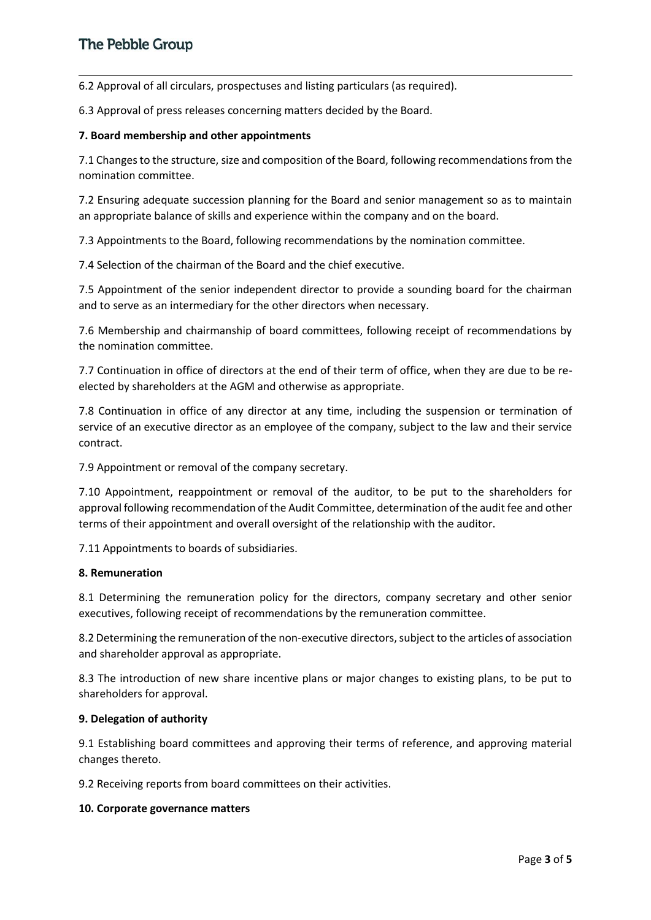6.2 Approval of all circulars, prospectuses and listing particulars (as required).

6.3 Approval of press releases concerning matters decided by the Board.

### **7. Board membership and other appointments**

7.1 Changes to the structure, size and composition of the Board, following recommendations from the nomination committee.

7.2 Ensuring adequate succession planning for the Board and senior management so as to maintain an appropriate balance of skills and experience within the company and on the board.

7.3 Appointments to the Board, following recommendations by the nomination committee.

7.4 Selection of the chairman of the Board and the chief executive.

7.5 Appointment of the senior independent director to provide a sounding board for the chairman and to serve as an intermediary for the other directors when necessary.

7.6 Membership and chairmanship of board committees, following receipt of recommendations by the nomination committee.

7.7 Continuation in office of directors at the end of their term of office, when they are due to be reelected by shareholders at the AGM and otherwise as appropriate.

7.8 Continuation in office of any director at any time, including the suspension or termination of service of an executive director as an employee of the company, subject to the law and their service contract.

7.9 Appointment or removal of the company secretary.

7.10 Appointment, reappointment or removal of the auditor, to be put to the shareholders for approval following recommendation of the Audit Committee, determination of the audit fee and other terms of their appointment and overall oversight of the relationship with the auditor.

7.11 Appointments to boards of subsidiaries.

### **8. Remuneration**

8.1 Determining the remuneration policy for the directors, company secretary and other senior executives, following receipt of recommendations by the remuneration committee.

8.2 Determining the remuneration of the non-executive directors, subject to the articles of association and shareholder approval as appropriate.

8.3 The introduction of new share incentive plans or major changes to existing plans, to be put to shareholders for approval.

### **9. Delegation of authority**

9.1 Establishing board committees and approving their terms of reference, and approving material changes thereto.

9.2 Receiving reports from board committees on their activities.

### **10. Corporate governance matters**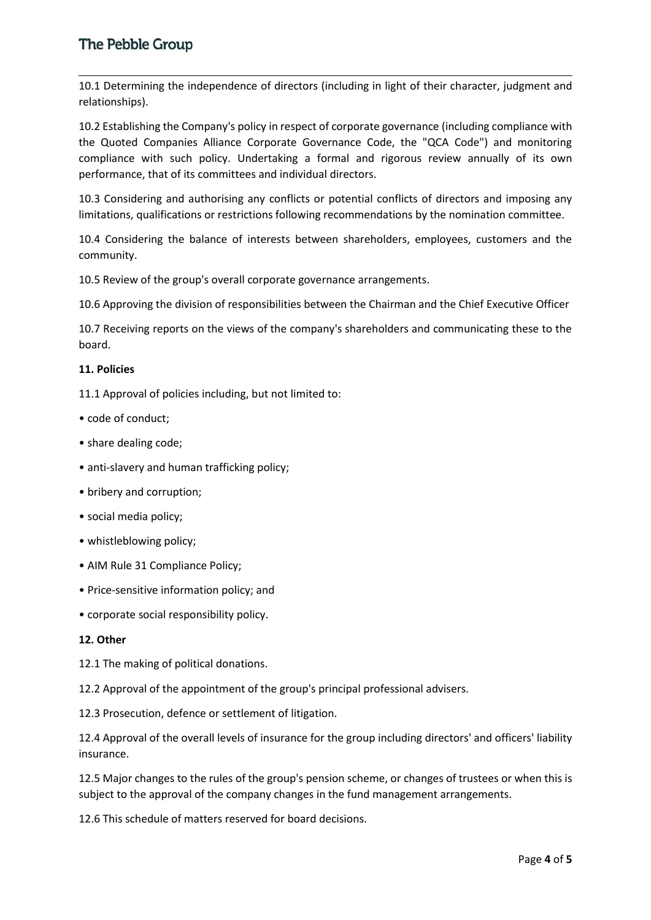# **The Pebble Group**

10.1 Determining the independence of directors (including in light of their character, judgment and relationships).

10.2 Establishing the Company's policy in respect of corporate governance (including compliance with the Quoted Companies Alliance Corporate Governance Code, the "QCA Code") and monitoring compliance with such policy. Undertaking a formal and rigorous review annually of its own performance, that of its committees and individual directors.

10.3 Considering and authorising any conflicts or potential conflicts of directors and imposing any limitations, qualifications or restrictions following recommendations by the nomination committee.

10.4 Considering the balance of interests between shareholders, employees, customers and the community.

10.5 Review of the group's overall corporate governance arrangements.

10.6 Approving the division of responsibilities between the Chairman and the Chief Executive Officer

10.7 Receiving reports on the views of the company's shareholders and communicating these to the board.

#### **11. Policies**

11.1 Approval of policies including, but not limited to:

- code of conduct;
- share dealing code;
- anti-slavery and human trafficking policy;
- bribery and corruption;
- social media policy;
- whistleblowing policy;
- AIM Rule 31 Compliance Policy;
- Price-sensitive information policy; and
- corporate social responsibility policy.

#### **12. Other**

12.1 The making of political donations.

12.2 Approval of the appointment of the group's principal professional advisers.

12.3 Prosecution, defence or settlement of litigation.

12.4 Approval of the overall levels of insurance for the group including directors' and officers' liability insurance.

12.5 Major changes to the rules of the group's pension scheme, or changes of trustees or when this is subject to the approval of the company changes in the fund management arrangements.

12.6 This schedule of matters reserved for board decisions.